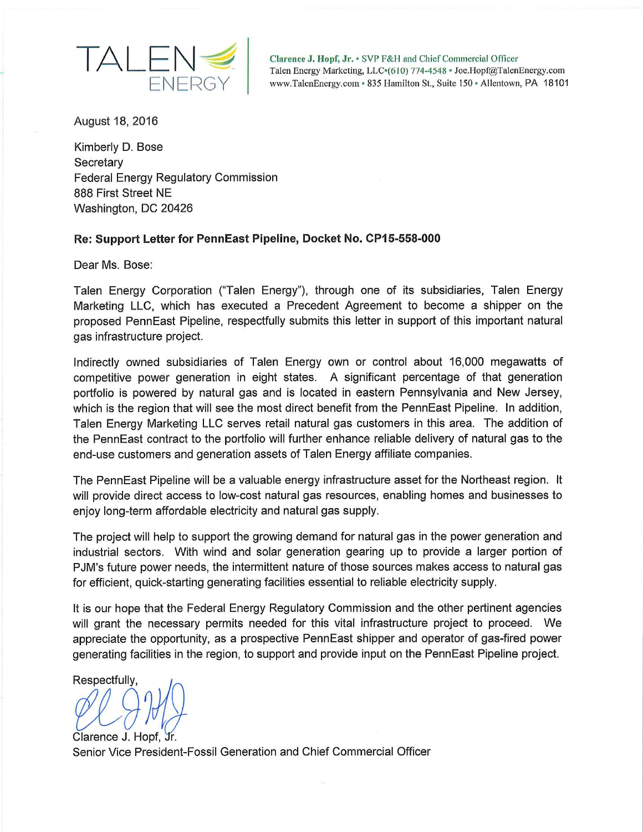

Clarence J. Hopf, Jr. • SVP F&H and Chief Commercial Officer Talen Energy Marketing, LLC $\cdot$ (610) 774-4548 · Joe.Hopf@TalenEnergy.com www.TalenEnergy.com^ 835 Hamilton St., Suite 150 • Allentown, PA 18101

August 18, 2016

Kimberly **D.** Bose **Secretary** Federal Energy Regulatory Commission 888 First Street NE Washington, DC 20426

## **Re: Support Letter for PennEast Pipeline, Docket No. CP15-558-000**

Dear Ms. Bose:

Talen Energy Corporation ("Talen Energy"), through one of its subsidiaries, Talen Energy Marketing LLC, which has executed a Precedent Agreement to become a shipper on the proposed PennEast Pipeline, respectfully submits this letter in support of this important natural gas infrastructure project.

Indirectly owned subsidiaries of Talen Energy own or control about 16,000 megawatts of competitive power generation in eight states. A significant percentage of that generation portfolio is powered by natural gas and is located in eastern Pennsylvania and New Jersey, which is the region that will see the most direct benefit from the PennEast Pipeline. In addition, Talen Energy Marketing LLC serves retail natural gas customers in this area. The addition of the PennEast contract to the portfolio will further enhance reliable delivery of natural gas to the end-use customers and generation assets of Talen Energy affiliate companies.

The PennEast Pipeline will be a valuable energy infrastructure asset for the Northeast region. It will provide direct access to low-cost natural gas resources, enabling homes and businesses to enjoy long-term affordable electricity and natural gas supply.

The project will help to support the growing demand for natural gas in the power generation and industrial sectors. With wind and solar generation gearing up to provide a larger portion of PJM's future power needs, the intermittent nature of those sources makes access to natural gas for efficient, quick-starting generating facilities essential to reliable electricity supply.

It is our hope that the Federal Energy Regulatory Commission and the other pertinent agencies will grant the necessary permits needed for this vital infrastructure project to proceed. We appreciate the opportunity, as a prospective PennEast shipper and operator of gas-fired power generating facilities in the region, to support and provide input on the PennEast Pipeline project.

Respectfully,

Clarence J. Hopf, Jr. Senior Vice President-Fossil Generation and Chief Commercial Officer